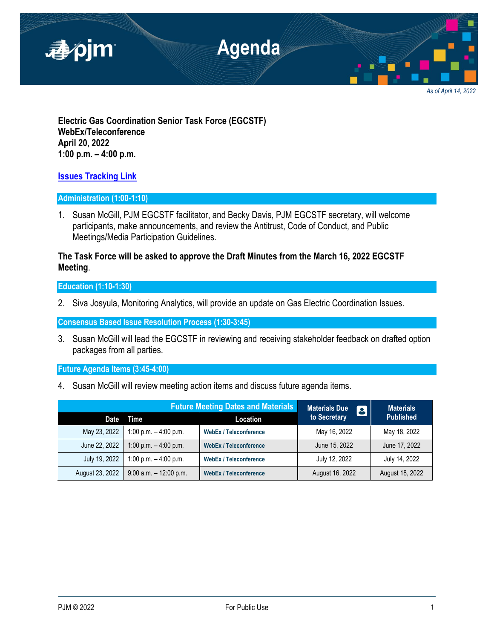

**Electric Gas Coordination Senior Task Force (EGCSTF) WebEx/Teleconference April 20, 2022 1:00 p.m. – 4:00 p.m.**

## **[Issues Tracking Link](https://www.pjm.com/committees-and-groups/issue-tracking/issue-tracking-details.aspx?Issue=e3c8385c-0638-4a1d-a5d2-8b1a2a87c295)**

### **Administration (1:00-1:10)**

1. Susan McGill, PJM EGCSTF facilitator, and Becky Davis, PJM EGCSTF secretary, will welcome participants, make announcements, and review the Antitrust, Code of Conduct, and Public Meetings/Media Participation Guidelines.

# **The Task Force will be asked to approve the Draft Minutes from the March 16, 2022 EGCSTF Meeting**.

**Education (1:10-1:30)**

2. Siva Josyula, Monitoring Analytics, will provide an update on Gas Electric Coordination Issues.

**Consensus Based Issue Resolution Process (1:30-3:45)**

3. Susan McGill will lead the EGCSTF in reviewing and receiving stakeholder feedback on drafted option packages from all parties.

**Future Agenda Items (3:45-4:00)**

4. Susan McGill will review meeting action items and discuss future agenda items.

|                 | <b>Future Meeting Dates and Materials</b> |                               | <b>Materials Due</b><br>$\blacksquare$ | <b>Materials</b> |
|-----------------|-------------------------------------------|-------------------------------|----------------------------------------|------------------|
| Date            | Time                                      | Location                      | to Secretary                           | <b>Published</b> |
| May 23, 2022    | 1:00 p.m. $-$ 4:00 p.m.                   | <b>WebEx / Teleconference</b> | May 16, 2022                           | May 18, 2022     |
| June 22, 2022   | 1:00 p.m. $-$ 4:00 p.m.                   | <b>WebEx / Teleconference</b> | June 15, 2022                          | June 17, 2022    |
| July 19, 2022   | 1:00 p.m. $-$ 4:00 p.m.                   | <b>WebEx / Teleconference</b> | July 12, 2022                          | July 14, 2022    |
| August 23, 2022 | $9:00$ a.m. $-12:00$ p.m.                 | <b>WebEx / Teleconference</b> | August 16, 2022                        | August 18, 2022  |